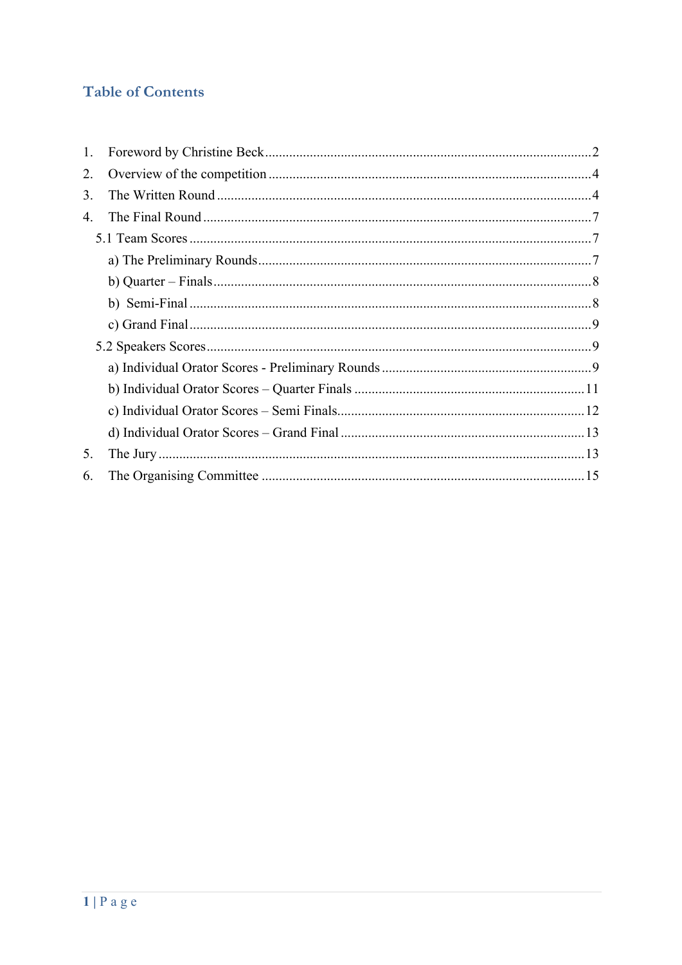# **Table of Contents**

| 1. |  |
|----|--|
| 2. |  |
| 3. |  |
| 4. |  |
|    |  |
|    |  |
|    |  |
|    |  |
|    |  |
|    |  |
|    |  |
|    |  |
|    |  |
|    |  |
| 5. |  |
| 6. |  |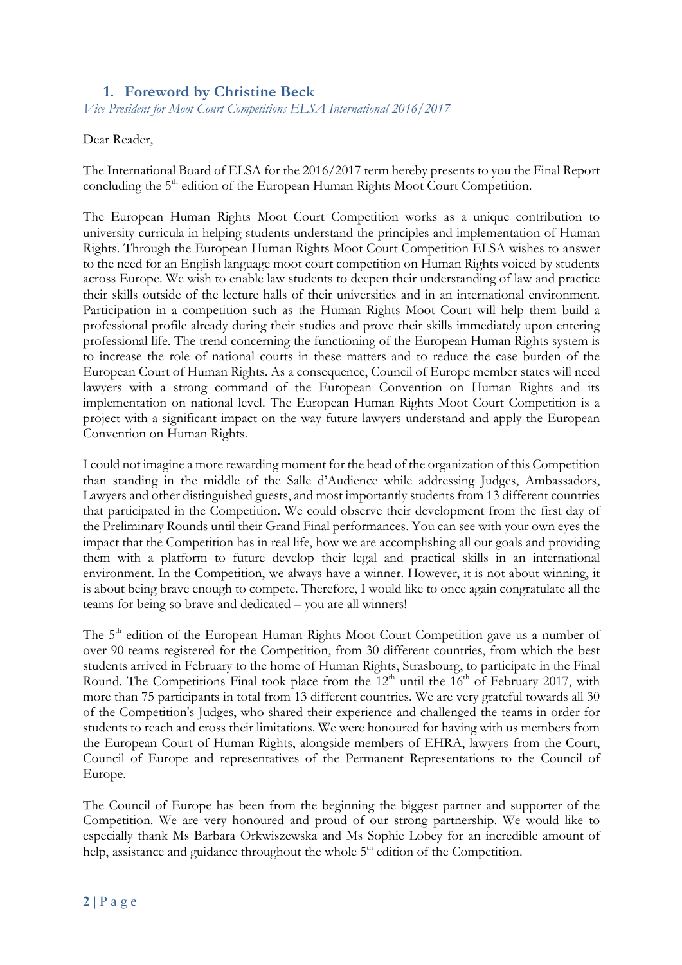### **1. Foreword by Christine Beck**

*Vice President for Moot Court Competitions ELSA International 2016/2017*

#### Dear Reader,

The International Board of ELSA for the 2016/2017 term hereby presents to you the Final Report concluding the 5<sup>th</sup> edition of the European Human Rights Moot Court Competition.

The European Human Rights Moot Court Competition works as a unique contribution to university curricula in helping students understand the principles and implementation of Human Rights. Through the European Human Rights Moot Court Competition ELSA wishes to answer to the need for an English language moot court competition on Human Rights voiced by students across Europe. We wish to enable law students to deepen their understanding of law and practice their skills outside of the lecture halls of their universities and in an international environment. Participation in a competition such as the Human Rights Moot Court will help them build a professional profile already during their studies and prove their skills immediately upon entering professional life. The trend concerning the functioning of the European Human Rights system is to increase the role of national courts in these matters and to reduce the case burden of the European Court of Human Rights. As a consequence, Council of Europe member states will need lawyers with a strong command of the European Convention on Human Rights and its implementation on national level. The European Human Rights Moot Court Competition is a project with a significant impact on the way future lawyers understand and apply the European Convention on Human Rights.

I could not imagine a more rewarding moment for the head of the organization of this Competition than standing in the middle of the Salle d'Audience while addressing Judges, Ambassadors, Lawyers and other distinguished guests, and most importantly students from 13 different countries that participated in the Competition. We could observe their development from the first day of the Preliminary Rounds until their Grand Final performances. You can see with your own eyes the impact that the Competition has in real life, how we are accomplishing all our goals and providing them with a platform to future develop their legal and practical skills in an international environment. In the Competition, we always have a winner. However, it is not about winning, it is about being brave enough to compete. Therefore, I would like to once again congratulate all the teams for being so brave and dedicated – you are all winners!

The 5<sup>th</sup> edition of the European Human Rights Moot Court Competition gave us a number of over 90 teams registered for the Competition, from 30 different countries, from which the best students arrived in February to the home of Human Rights, Strasbourg, to participate in the Final Round. The Competitions Final took place from the  $12<sup>th</sup>$  until the  $16<sup>th</sup>$  of February 2017, with more than 75 participants in total from 13 different countries. We are very grateful towards all 30 of the Competition's Judges, who shared their experience and challenged the teams in order for students to reach and cross their limitations. We were honoured for having with us members from the European Court of Human Rights, alongside members of EHRA, lawyers from the Court, Council of Europe and representatives of the Permanent Representations to the Council of Europe.

The Council of Europe has been from the beginning the biggest partner and supporter of the Competition. We are very honoured and proud of our strong partnership. We would like to especially thank Ms Barbara Orkwiszewska and Ms Sophie Lobey for an incredible amount of help, assistance and guidance throughout the whole  $5<sup>th</sup>$  edition of the Competition.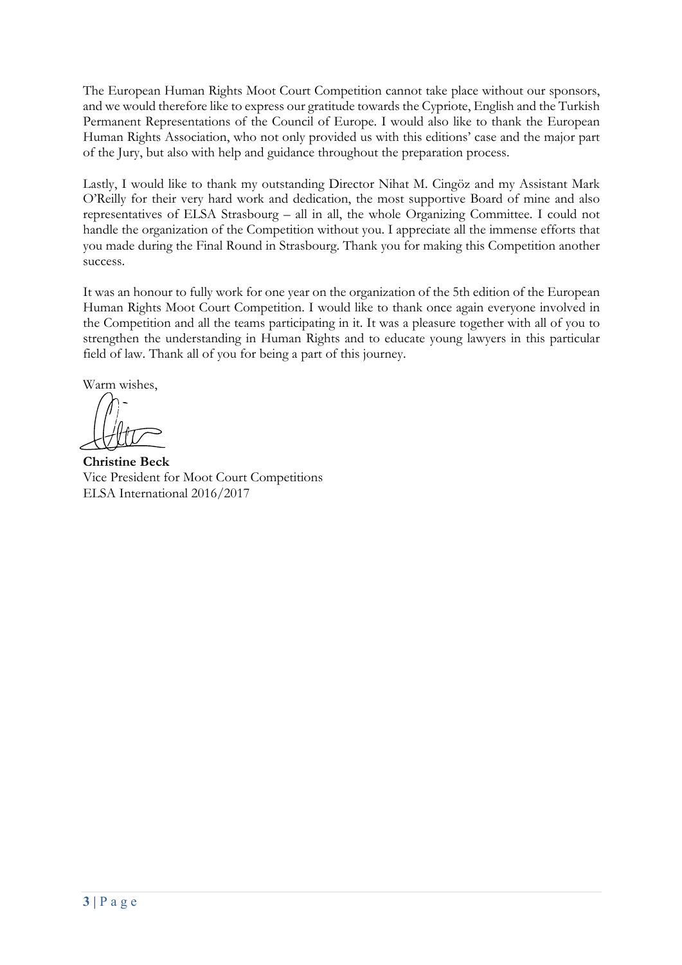The European Human Rights Moot Court Competition cannot take place without our sponsors, and we would therefore like to express our gratitude towards the Cypriote, English and the Turkish Permanent Representations of the Council of Europe. I would also like to thank the European Human Rights Association, who not only provided us with this editions' case and the major part of the Jury, but also with help and guidance throughout the preparation process.

Lastly, I would like to thank my outstanding Director Nihat M. Cingöz and my Assistant Mark O'Reilly for their very hard work and dedication, the most supportive Board of mine and also representatives of ELSA Strasbourg – all in all, the whole Organizing Committee. I could not handle the organization of the Competition without you. I appreciate all the immense efforts that you made during the Final Round in Strasbourg. Thank you for making this Competition another success.

It was an honour to fully work for one year on the organization of the 5th edition of the European Human Rights Moot Court Competition. I would like to thank once again everyone involved in the Competition and all the teams participating in it. It was a pleasure together with all of you to strengthen the understanding in Human Rights and to educate young lawyers in this particular field of law. Thank all of you for being a part of this journey.

Warm wishes,

**Christine Beck** Vice President for Moot Court Competitions ELSA International 2016/2017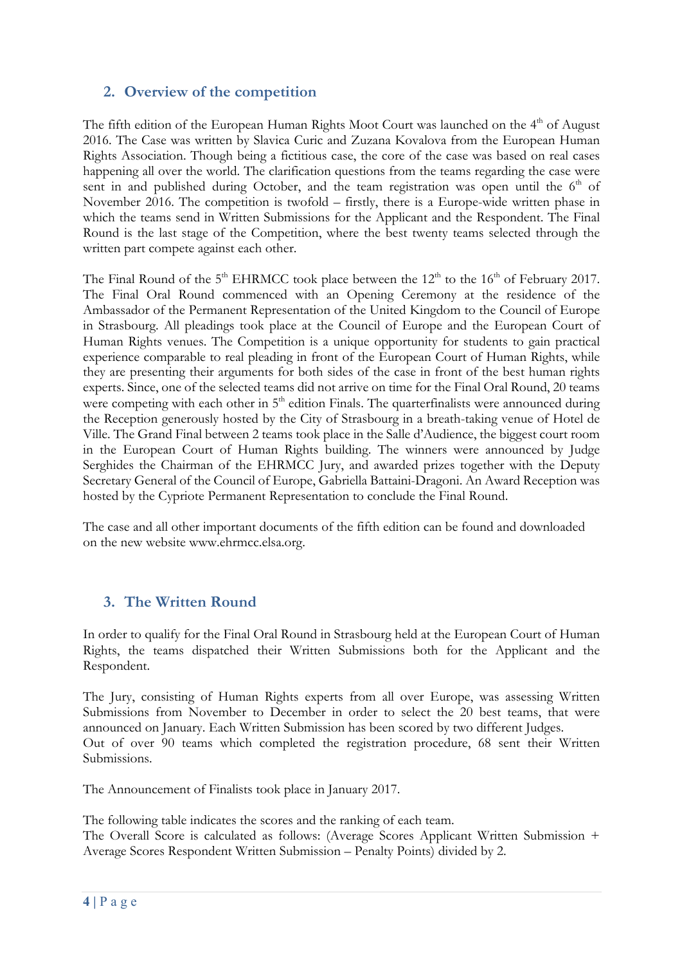### **2. Overview of the competition**

The fifth edition of the European Human Rights Moot Court was launched on the  $4<sup>th</sup>$  of August 2016. The Case was written by Slavica Curic and Zuzana Kovalova from the European Human Rights Association. Though being a fictitious case, the core of the case was based on real cases happening all over the world. The clarification questions from the teams regarding the case were sent in and published during October, and the team registration was open until the  $6<sup>th</sup>$  of November 2016. The competition is twofold – firstly, there is a Europe-wide written phase in which the teams send in Written Submissions for the Applicant and the Respondent. The Final Round is the last stage of the Competition, where the best twenty teams selected through the written part compete against each other.

The Final Round of the  $5<sup>th</sup>$  EHRMCC took place between the  $12<sup>th</sup>$  to the  $16<sup>th</sup>$  of February 2017. The Final Oral Round commenced with an Opening Ceremony at the residence of the Ambassador of the Permanent Representation of the United Kingdom to the Council of Europe in Strasbourg. All pleadings took place at the Council of Europe and the European Court of Human Rights venues. The Competition is a unique opportunity for students to gain practical experience comparable to real pleading in front of the European Court of Human Rights, while they are presenting their arguments for both sides of the case in front of the best human rights experts. Since, one of the selected teams did not arrive on time for the Final Oral Round, 20 teams were competing with each other in  $5<sup>th</sup>$  edition Finals. The quarterfinalists were announced during the Reception generously hosted by the City of Strasbourg in a breath-taking venue of Hotel de Ville. The Grand Final between 2 teams took place in the Salle d'Audience, the biggest court room in the European Court of Human Rights building. The winners were announced by Judge Serghides the Chairman of the EHRMCC Jury, and awarded prizes together with the Deputy Secretary General of the Council of Europe, Gabriella Battaini-Dragoni. An Award Reception was hosted by the Cypriote Permanent Representation to conclude the Final Round.

The case and all other important documents of the fifth edition can be found and downloaded on the new website www.ehrmcc.elsa.org.

## **3. The Written Round**

In order to qualify for the Final Oral Round in Strasbourg held at the European Court of Human Rights, the teams dispatched their Written Submissions both for the Applicant and the Respondent.

The Jury, consisting of Human Rights experts from all over Europe, was assessing Written Submissions from November to December in order to select the 20 best teams, that were announced on January. Each Written Submission has been scored by two different Judges. Out of over 90 teams which completed the registration procedure, 68 sent their Written Submissions.

The Announcement of Finalists took place in January 2017.

The following table indicates the scores and the ranking of each team.

The Overall Score is calculated as follows: (Average Scores Applicant Written Submission + Average Scores Respondent Written Submission – Penalty Points) divided by 2.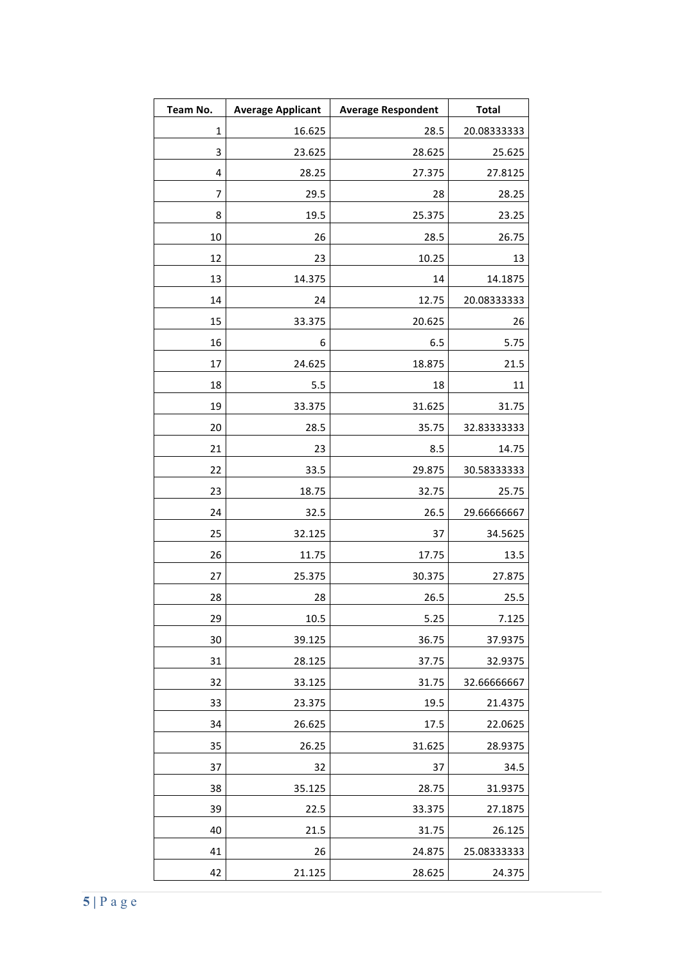| Team No. | <b>Average Applicant</b> | <b>Average Respondent</b> | <b>Total</b> |
|----------|--------------------------|---------------------------|--------------|
| 1        | 16.625                   | 28.5                      | 20.08333333  |
| 3        | 23.625                   | 28.625                    | 25.625       |
| 4        | 28.25                    | 27.375                    | 27.8125      |
| 7        | 29.5                     | 28                        | 28.25        |
| 8        | 19.5                     | 25.375                    | 23.25        |
| 10       | 26                       | 28.5                      | 26.75        |
| 12       | 23                       | 10.25                     | 13           |
| 13       | 14.375                   | 14                        | 14.1875      |
| 14       | 24                       | 12.75                     | 20.08333333  |
| 15       | 33.375                   | 20.625                    | 26           |
| 16       | 6                        | 6.5                       | 5.75         |
| 17       | 24.625                   | 18.875                    | 21.5         |
| 18       | 5.5                      | 18                        | 11           |
| 19       | 33.375                   | 31.625                    | 31.75        |
| 20       | 28.5                     | 35.75                     | 32.83333333  |
| 21       | 23                       | 8.5                       | 14.75        |
| 22       | 33.5                     | 29.875                    | 30.58333333  |
| 23       | 18.75                    | 32.75                     | 25.75        |
| 24       | 32.5                     | 26.5                      | 29.66666667  |
| 25       | 32.125                   | 37                        | 34.5625      |
| 26       | 11.75                    | 17.75                     | 13.5         |
| 27       | 25.375                   | 30.375                    | 27.875       |
| 28       | 28                       | 26.5                      | 25.5         |
| 29       | 10.5                     | 5.25                      | 7.125        |
| 30       | 39.125                   | 36.75                     | 37.9375      |
| 31       | 28.125                   | 37.75                     | 32.9375      |
| 32       | 33.125                   | 31.75                     | 32.66666667  |
| 33       | 23.375                   | 19.5                      | 21.4375      |
| 34       | 26.625                   | 17.5                      | 22.0625      |
| 35       | 26.25                    | 31.625                    | 28.9375      |
| 37       | 32                       | 37                        | 34.5         |
| 38       | 35.125                   | 28.75                     | 31.9375      |
| 39       | 22.5                     | 33.375                    | 27.1875      |
| 40       | 21.5                     | 31.75                     | 26.125       |
| 41       | 26                       | 24.875                    | 25.08333333  |
| 42       | 21.125                   | 28.625                    | 24.375       |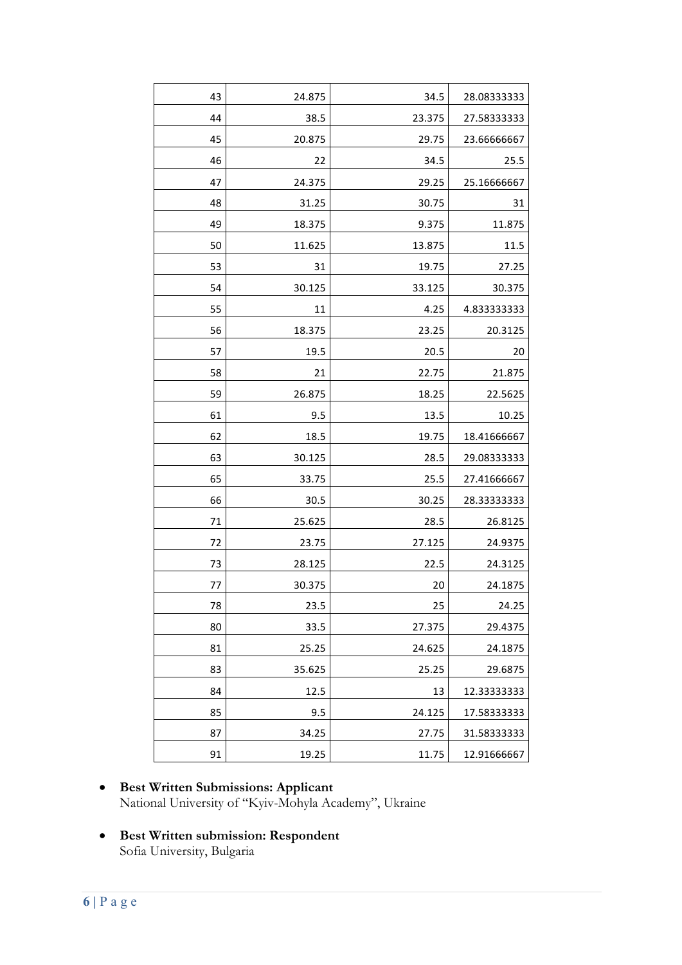| 43 | 24.875 | 34.5   | 28.08333333 |
|----|--------|--------|-------------|
| 44 | 38.5   | 23.375 | 27.58333333 |
| 45 | 20.875 | 29.75  | 23.66666667 |
| 46 | 22     | 34.5   | 25.5        |
| 47 | 24.375 | 29.25  | 25.16666667 |
| 48 | 31.25  | 30.75  | 31          |
| 49 | 18.375 | 9.375  | 11.875      |
| 50 | 11.625 | 13.875 | 11.5        |
| 53 | 31     | 19.75  | 27.25       |
| 54 | 30.125 | 33.125 | 30.375      |
| 55 | 11     | 4.25   | 4.833333333 |
| 56 | 18.375 | 23.25  | 20.3125     |
| 57 | 19.5   | 20.5   | 20          |
| 58 | 21     | 22.75  | 21.875      |
| 59 | 26.875 | 18.25  | 22.5625     |
| 61 | 9.5    | 13.5   | 10.25       |
| 62 | 18.5   | 19.75  | 18.41666667 |
| 63 | 30.125 | 28.5   | 29.08333333 |
| 65 | 33.75  | 25.5   | 27.41666667 |
| 66 | 30.5   | 30.25  | 28.33333333 |
| 71 | 25.625 | 28.5   | 26.8125     |
| 72 | 23.75  | 27.125 | 24.9375     |
| 73 | 28.125 | 22.5   | 24.3125     |
| 77 | 30.375 | 20     | 24.1875     |
| 78 | 23.5   | 25     | 24.25       |
| 80 | 33.5   | 27.375 | 29.4375     |
| 81 | 25.25  | 24.625 | 24.1875     |
| 83 | 35.625 | 25.25  | 29.6875     |
| 84 | 12.5   | 13     | 12.33333333 |
| 85 | 9.5    | 24.125 | 17.58333333 |
| 87 | 34.25  | 27.75  | 31.58333333 |
| 91 | 19.25  | 11.75  | 12.91666667 |

- **Best Written Submissions: Applicant** National University of "Kyiv-Mohyla Academy", Ukraine
- **Best Written submission: Respondent**  Sofia University, Bulgaria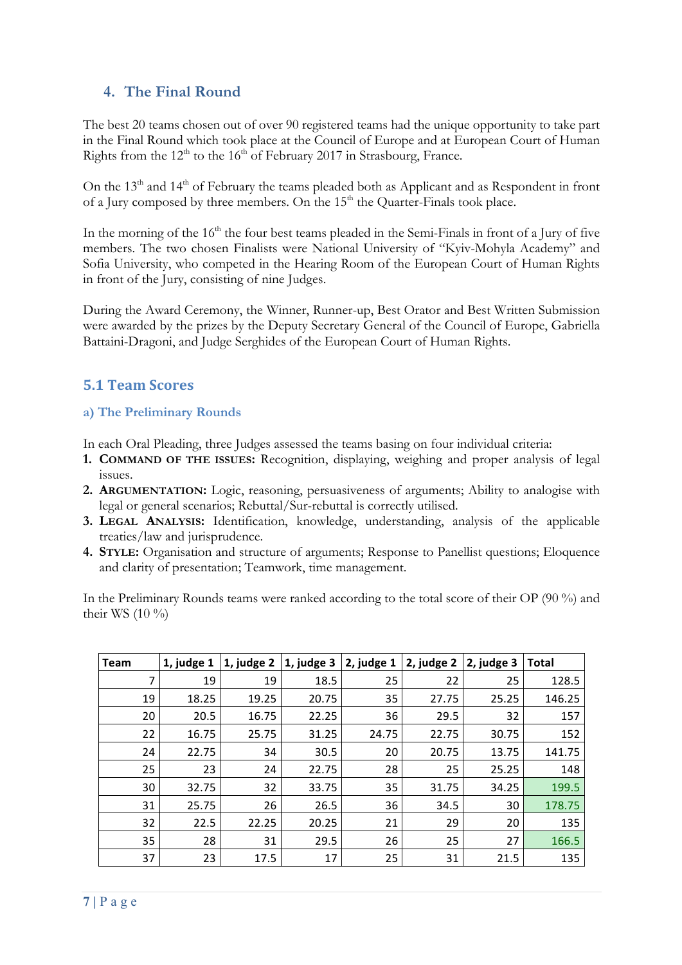## **4. The Final Round**

The best 20 teams chosen out of over 90 registered teams had the unique opportunity to take part in the Final Round which took place at the Council of Europe and at European Court of Human Rights from the  $12<sup>th</sup>$  to the 16<sup>th</sup> of February 2017 in Strasbourg, France.

On the  $13<sup>th</sup>$  and  $14<sup>th</sup>$  of February the teams pleaded both as Applicant and as Respondent in front of a Jury composed by three members. On the  $15<sup>th</sup>$  the Quarter-Finals took place.

In the morning of the 16<sup>th</sup> the four best teams pleaded in the Semi-Finals in front of a Jury of five members. The two chosen Finalists were National University of "Kyiv-Mohyla Academy" and Sofia University, who competed in the Hearing Room of the European Court of Human Rights in front of the Jury, consisting of nine Judges.

During the Award Ceremony, the Winner, Runner-up, Best Orator and Best Written Submission were awarded by the prizes by the Deputy Secretary General of the Council of Europe, Gabriella Battaini-Dragoni, and Judge Serghides of the European Court of Human Rights.

### **5.1 Team Scores**

#### **a) The Preliminary Rounds**

In each Oral Pleading, three Judges assessed the teams basing on four individual criteria:

- **1. COMMAND OF THE ISSUES:** Recognition, displaying, weighing and proper analysis of legal issues.
- **2. ARGUMENTATION:** Logic, reasoning, persuasiveness of arguments; Ability to analogise with legal or general scenarios; Rebuttal/Sur-rebuttal is correctly utilised.
- **3. LEGAL ANALYSIS:** Identification, knowledge, understanding, analysis of the applicable treaties/law and jurisprudence.
- **4. STYLE:** Organisation and structure of arguments; Response to Panellist questions; Eloquence and clarity of presentation; Teamwork, time management.

In the Preliminary Rounds teams were ranked according to the total score of their OP (90 %) and their WS  $(10 \%)$ 

| <b>Team</b> | 1, judge 1 | 1, judge 2 | 1, judge 3 | 2, judge 1 | 2, judge 2 | 2, judge 3 | <b>Total</b> |
|-------------|------------|------------|------------|------------|------------|------------|--------------|
| 7           | 19         | 19         | 18.5       | 25         | 22         | 25         | 128.5        |
| 19          | 18.25      | 19.25      | 20.75      | 35         | 27.75      | 25.25      | 146.25       |
| 20          | 20.5       | 16.75      | 22.25      | 36         | 29.5       | 32         | 157          |
| 22          | 16.75      | 25.75      | 31.25      | 24.75      | 22.75      | 30.75      | 152          |
| 24          | 22.75      | 34         | 30.5       | 20         | 20.75      | 13.75      | 141.75       |
| 25          | 23         | 24         | 22.75      | 28         | 25         | 25.25      | 148          |
| 30          | 32.75      | 32         | 33.75      | 35         | 31.75      | 34.25      | 199.5        |
| 31          | 25.75      | 26         | 26.5       | 36         | 34.5       | 30         | 178.75       |
| 32          | 22.5       | 22.25      | 20.25      | 21         | 29         | 20         | 135          |
| 35          | 28         | 31         | 29.5       | 26         | 25         | 27         | 166.5        |
| 37          | 23         | 17.5       | 17         | 25         | 31         | 21.5       | 135          |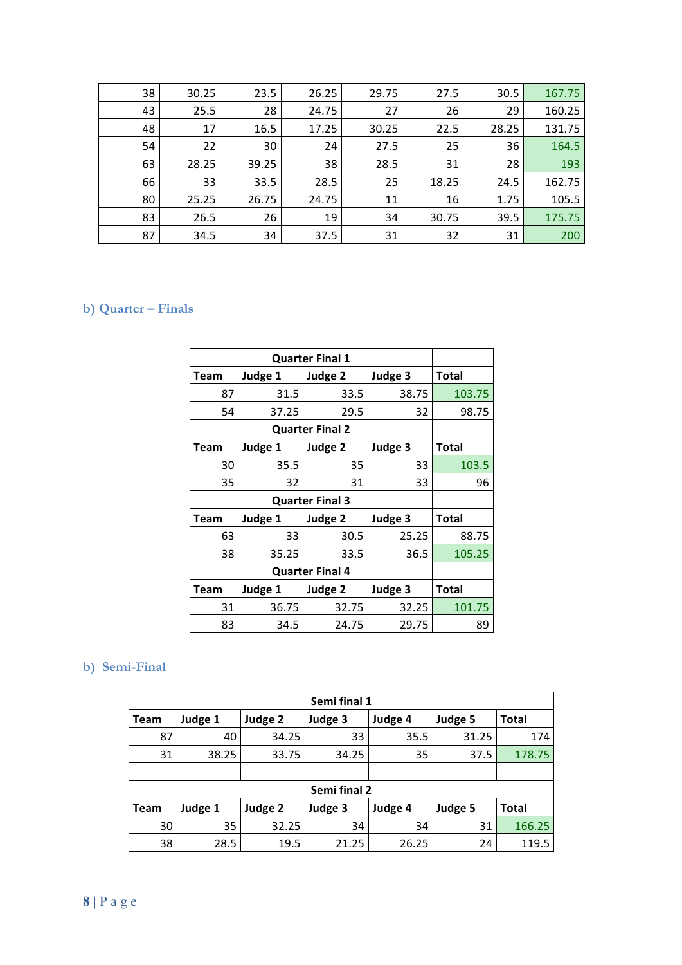| 38 | 30.25 | 23.5  | 26.25 | 29.75 | 27.5  | 30.5  | 167.75 |
|----|-------|-------|-------|-------|-------|-------|--------|
| 43 | 25.5  | 28    | 24.75 | 27    | 26    | 29    | 160.25 |
| 48 | 17    | 16.5  | 17.25 | 30.25 | 22.5  | 28.25 | 131.75 |
| 54 | 22    | 30    | 24    | 27.5  | 25    | 36    | 164.5  |
| 63 | 28.25 | 39.25 | 38    | 28.5  | 31    | 28    | 193    |
| 66 | 33    | 33.5  | 28.5  | 25    | 18.25 | 24.5  | 162.75 |
| 80 | 25.25 | 26.75 | 24.75 | 11    | 16    | 1.75  | 105.5  |
| 83 | 26.5  | 26    | 19    | 34    | 30.75 | 39.5  | 175.75 |
| 87 | 34.5  | 34    | 37.5  | 31    | 32    | 31    | 200    |

### **b) Quarter – Finals**

|                        | <b>Quarter Final 1</b> |                        |         |              |  |  |  |  |  |  |  |
|------------------------|------------------------|------------------------|---------|--------------|--|--|--|--|--|--|--|
| Team                   | Judge 1                | Judge 2                | Judge 3 | <b>Total</b> |  |  |  |  |  |  |  |
| 87                     | 31.5                   | 33.5                   | 38.75   | 103.75       |  |  |  |  |  |  |  |
| 54                     | 37.25                  | 29.5                   | 32      | 98.75        |  |  |  |  |  |  |  |
| <b>Quarter Final 2</b> |                        |                        |         |              |  |  |  |  |  |  |  |
| <b>Team</b>            | Judge 1                | Judge 2                | Judge 3 | <b>Total</b> |  |  |  |  |  |  |  |
| 30                     | 35.5                   | 35                     | 33      | 103.5        |  |  |  |  |  |  |  |
| 35                     | 32                     | 31                     | 33      | 96           |  |  |  |  |  |  |  |
|                        |                        | <b>Quarter Final 3</b> |         |              |  |  |  |  |  |  |  |
| Team                   | Judge 1                | Judge 2                | Judge 3 | Total        |  |  |  |  |  |  |  |
| 63                     | 33                     | 30.5                   | 25.25   | 88.75        |  |  |  |  |  |  |  |
| 38                     | 35.25                  | 33.5                   | 36.5    | 105.25       |  |  |  |  |  |  |  |
|                        |                        | <b>Quarter Final 4</b> |         |              |  |  |  |  |  |  |  |
| Team                   | Judge 1                | Judge 2                | Judge 3 | Total        |  |  |  |  |  |  |  |
| 31                     | 36.75                  | 32.75                  | 32.25   | 101.75       |  |  |  |  |  |  |  |
| 83                     | 34.5                   | 24.75                  | 29.75   | 89           |  |  |  |  |  |  |  |

# **b) Semi-Final**

| Semi final 1           |         |         |              |         |         |              |  |  |  |  |  |
|------------------------|---------|---------|--------------|---------|---------|--------------|--|--|--|--|--|
| <b>Team</b>            | Judge 1 | Judge 2 | Judge 3      | Judge 4 | Judge 5 | <b>Total</b> |  |  |  |  |  |
| 87                     | 40      | 34.25   | 33           | 35.5    | 31.25   | 174          |  |  |  |  |  |
| 31                     | 38.25   | 33.75   | 34.25        | 35      | 37.5    | 178.75       |  |  |  |  |  |
|                        |         |         |              |         |         |              |  |  |  |  |  |
|                        |         |         | Semi final 2 |         |         |              |  |  |  |  |  |
| Judge 1<br><b>Team</b> |         | Judge 2 | Judge 3      | Judge 4 | Judge 5 | <b>Total</b> |  |  |  |  |  |
| 30                     | 35      | 32.25   | 34           | 34      | 31      | 166.25       |  |  |  |  |  |
| 38                     | 28.5    | 19.5    | 21.25        | 26.25   | 24      | 119.5        |  |  |  |  |  |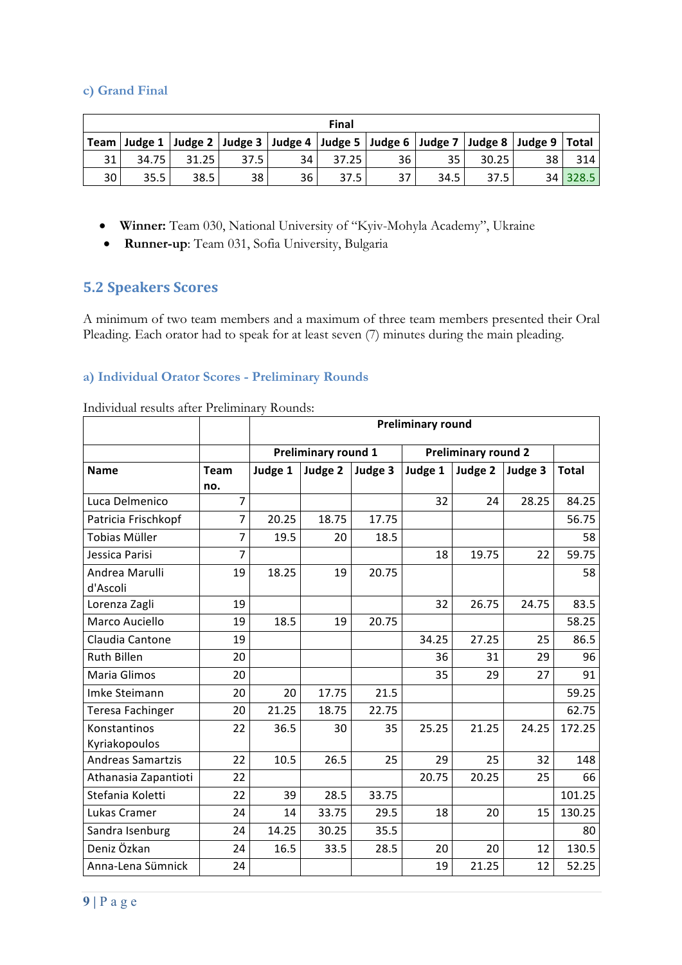#### **c) Grand Final**

|      | Final |       |                 |                 |       |                                                                                                        |      |       |    |          |  |  |
|------|-------|-------|-----------------|-----------------|-------|--------------------------------------------------------------------------------------------------------|------|-------|----|----------|--|--|
|      |       |       |                 |                 |       | Team   Judge 1   Judge 2   Judge 3   Judge 4   Judge 5   Judge 6   Judge 7   Judge 8   Judge 9   Total |      |       |    |          |  |  |
| 31   | 34.75 | 31.25 | 37.5            | 34 <sub>1</sub> | 37.25 | 36                                                                                                     | 35.  | 30.25 | 38 | 314      |  |  |
| 30 I | 35.5  | 38.5  | 38 <sup>1</sup> | 36              | 37.5  | 37                                                                                                     | 34.5 | 37.5  |    | 34 328.5 |  |  |

- **Winner:** Team 030, National University of "Kyiv-Mohyla Academy", Ukraine
- **Runner-up**: Team 031, Sofia University, Bulgaria

#### **5.2 Speakers Scores**

A minimum of two team members and a maximum of three team members presented their Oral Pleading. Each orator had to speak for at least seven (7) minutes during the main pleading.

#### **a) Individual Orator Scores - Preliminary Rounds**

|                          |                | <b>Preliminary round</b> |                            |         |                            |         |         |              |  |
|--------------------------|----------------|--------------------------|----------------------------|---------|----------------------------|---------|---------|--------------|--|
|                          |                |                          | <b>Preliminary round 1</b> |         | <b>Preliminary round 2</b> |         |         |              |  |
| <b>Name</b>              | <b>Team</b>    | Judge 1                  | Judge 2                    | Judge 3 | Judge 1                    | Judge 2 | Judge 3 | <b>Total</b> |  |
|                          | no.            |                          |                            |         |                            |         |         |              |  |
| Luca Delmenico           | $\overline{7}$ |                          |                            |         | 32                         | 24      | 28.25   | 84.25        |  |
| Patricia Frischkopf      | $\overline{7}$ | 20.25                    | 18.75                      | 17.75   |                            |         |         | 56.75        |  |
| <b>Tobias Müller</b>     | 7              | 19.5                     | 20                         | 18.5    |                            |         |         | 58           |  |
| Jessica Parisi           | 7              |                          |                            |         | 18                         | 19.75   | 22      | 59.75        |  |
| Andrea Marulli           | 19             | 18.25                    | 19                         | 20.75   |                            |         |         | 58           |  |
| d'Ascoli                 |                |                          |                            |         |                            |         |         |              |  |
| Lorenza Zagli            | 19             |                          |                            |         | 32                         | 26.75   | 24.75   | 83.5         |  |
| Marco Auciello           | 19             | 18.5                     | 19                         | 20.75   |                            |         |         | 58.25        |  |
| Claudia Cantone          | 19             |                          |                            |         | 34.25                      | 27.25   | 25      | 86.5         |  |
| <b>Ruth Billen</b>       | 20             |                          |                            |         | 36                         | 31      | 29      | 96           |  |
| Maria Glimos             | 20             |                          |                            |         | 35                         | 29      | 27      | 91           |  |
| Imke Steimann            | 20             | 20                       | 17.75                      | 21.5    |                            |         |         | 59.25        |  |
| Teresa Fachinger         | 20             | 21.25                    | 18.75                      | 22.75   |                            |         |         | 62.75        |  |
| Konstantinos             | 22             | 36.5                     | 30                         | 35      | 25.25                      | 21.25   | 24.25   | 172.25       |  |
| Kyriakopoulos            |                |                          |                            |         |                            |         |         |              |  |
| <b>Andreas Samartzis</b> | 22             | 10.5                     | 26.5                       | 25      | 29                         | 25      | 32      | 148          |  |
| Athanasia Zapantioti     | 22             |                          |                            |         | 20.75                      | 20.25   | 25      | 66           |  |
| Stefania Koletti         | 22             | 39                       | 28.5                       | 33.75   |                            |         |         | 101.25       |  |
| Lukas Cramer             | 24             | 14                       | 33.75                      | 29.5    | 18                         | 20      | 15      | 130.25       |  |
| Sandra Isenburg          | 24             | 14.25                    | 30.25                      | 35.5    |                            |         |         | 80           |  |
| Deniz Özkan              | 24             | 16.5                     | 33.5                       | 28.5    | 20                         | 20      | 12      | 130.5        |  |
| Anna-Lena Sümnick        | 24             |                          |                            |         | 19                         | 21.25   | 12      | 52.25        |  |

Individual results after Preliminary Rounds: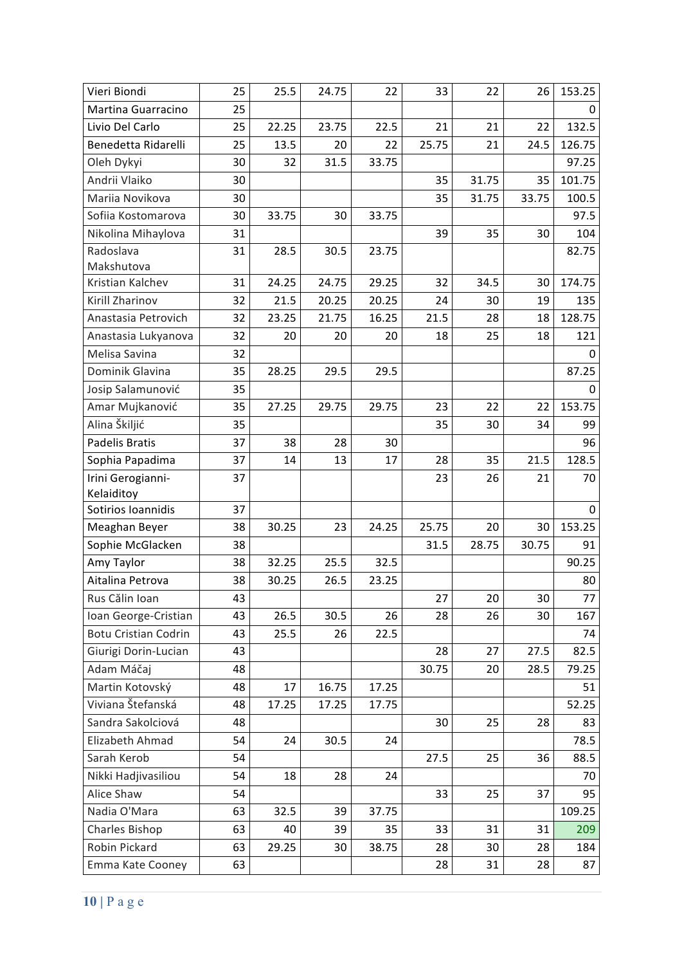| Vieri Biondi                | 25 | 25.5  | 24.75 | 22    | 33    | 22    | 26    | 153.25          |
|-----------------------------|----|-------|-------|-------|-------|-------|-------|-----------------|
| Martina Guarracino          | 25 |       |       |       |       |       |       | 0               |
| Livio Del Carlo             | 25 | 22.25 | 23.75 | 22.5  | 21    | 21    | 22    | 132.5           |
| Benedetta Ridarelli         | 25 | 13.5  | 20    | 22    | 25.75 | 21    | 24.5  | 126.75          |
| Oleh Dykyi                  | 30 | 32    | 31.5  | 33.75 |       |       |       | 97.25           |
| Andrii Vlaiko               | 30 |       |       |       | 35    | 31.75 | 35    | 101.75          |
| Mariia Novikova             | 30 |       |       |       | 35    | 31.75 | 33.75 | 100.5           |
| Sofiia Kostomarova          | 30 | 33.75 | 30    | 33.75 |       |       |       | 97.5            |
| Nikolina Mihaylova          | 31 |       |       |       | 39    | 35    | 30    | 104             |
| Radoslava                   | 31 | 28.5  | 30.5  | 23.75 |       |       |       | 82.75           |
| Makshutova                  |    |       |       |       |       |       |       |                 |
| Kristian Kalchev            | 31 | 24.25 | 24.75 | 29.25 | 32    | 34.5  | 30    | 174.75          |
| Kirill Zharinov             | 32 | 21.5  | 20.25 | 20.25 | 24    | 30    | 19    | 135             |
| Anastasia Petrovich         | 32 | 23.25 | 21.75 | 16.25 | 21.5  | 28    | 18    | 128.75          |
| Anastasia Lukyanova         | 32 | 20    | 20    | 20    | 18    | 25    | 18    | 121             |
| Melisa Savina               | 32 |       |       |       |       |       |       | 0               |
| Dominik Glavina             | 35 | 28.25 | 29.5  | 29.5  |       |       |       | 87.25           |
| Josip Salamunović           | 35 |       |       |       |       |       |       | $\Omega$        |
| Amar Mujkanović             | 35 | 27.25 | 29.75 | 29.75 | 23    | 22    | 22    | 153.75          |
| Alina Škiljić               | 35 |       |       |       | 35    | 30    | 34    | 99              |
| <b>Padelis Bratis</b>       | 37 | 38    | 28    | 30    |       |       |       | 96              |
| Sophia Papadima             | 37 | 14    | 13    | 17    | 28    | 35    | 21.5  | 128.5           |
| Irini Gerogianni-           | 37 |       |       |       | 23    | 26    | 21    | 70              |
| Kelaiditoy                  |    |       |       |       |       |       |       |                 |
| Sotirios Ioannidis          | 37 |       |       |       |       |       |       | 0               |
| Meaghan Beyer               | 38 | 30.25 | 23    | 24.25 | 25.75 | 20    | 30    | 153.25          |
| Sophie McGlacken            | 38 |       |       |       | 31.5  | 28.75 | 30.75 | 91              |
| Amy Taylor                  | 38 | 32.25 | 25.5  | 32.5  |       |       |       | 90.25           |
| Aitalina Petrova            | 38 | 30.25 | 26.5  | 23.25 |       |       |       | 80              |
| Rus Călin Ioan              | 43 |       |       |       | 27    | 20    | 30    | $\overline{77}$ |
| Ioan George-Cristian        | 43 | 26.5  | 30.5  | 26    | 28    | 26    | 30    | 167             |
| <b>Botu Cristian Codrin</b> | 43 | 25.5  | 26    | 22.5  |       |       |       | 74              |
| Giurigi Dorin-Lucian        | 43 |       |       |       | 28    | 27    | 27.5  | 82.5            |
| Adam Máčaj                  | 48 |       |       |       | 30.75 | 20    | 28.5  | 79.25           |
| Martin Kotovský             | 48 | 17    | 16.75 | 17.25 |       |       |       | 51              |
| Viviana Štefanská           | 48 | 17.25 | 17.25 | 17.75 |       |       |       | 52.25           |
| Sandra Sakolciová           | 48 |       |       |       | 30    | 25    | 28    | 83              |
| Elizabeth Ahmad             | 54 | 24    | 30.5  | 24    |       |       |       | 78.5            |
| Sarah Kerob                 | 54 |       |       |       | 27.5  | 25    | 36    | 88.5            |
| Nikki Hadjivasiliou         | 54 | 18    | 28    | 24    |       |       |       | 70              |
| Alice Shaw                  | 54 |       |       |       | 33    | 25    | 37    | 95              |
| Nadia O'Mara                | 63 | 32.5  | 39    | 37.75 |       |       |       | 109.25          |
| Charles Bishop              | 63 | 40    | 39    | 35    | 33    | 31    | 31    | 209             |
| Robin Pickard               | 63 | 29.25 | 30    | 38.75 | 28    | 30    | 28    | 184             |
| Emma Kate Cooney            | 63 |       |       |       | 28    | 31    | 28    | 87              |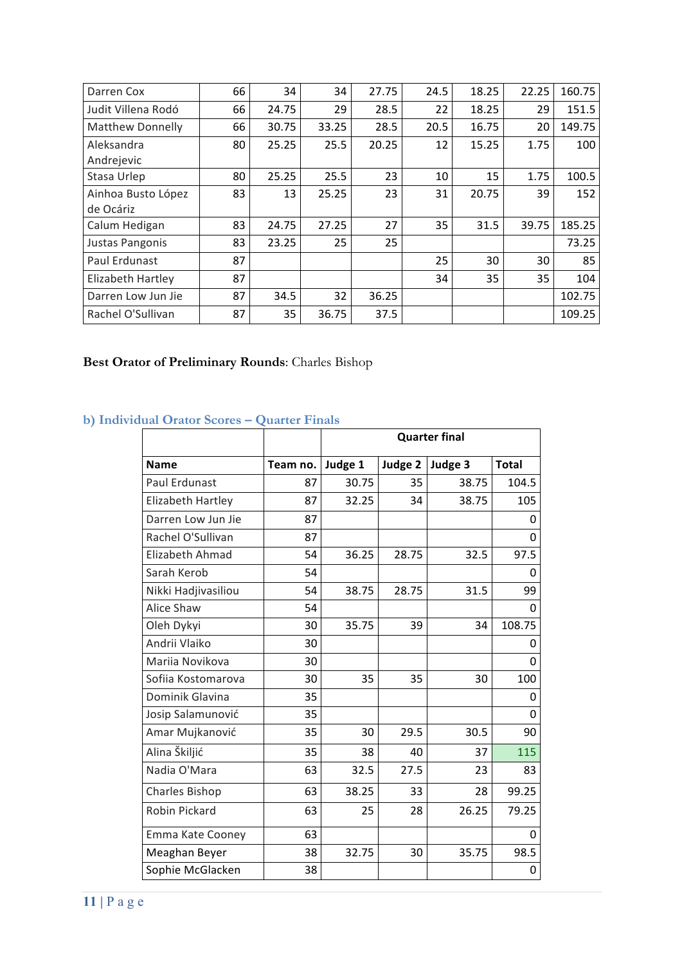| Darren Cox              | 66 | 34    | 34    | 27.75 | 24.5 | 18.25 | 22.25 | 160.75 |
|-------------------------|----|-------|-------|-------|------|-------|-------|--------|
| Judit Villena Rodó      | 66 | 24.75 | 29    | 28.5  | 22   | 18.25 | 29    | 151.5  |
| <b>Matthew Donnelly</b> | 66 | 30.75 | 33.25 | 28.5  | 20.5 | 16.75 | 20    | 149.75 |
| Aleksandra              | 80 | 25.25 | 25.5  | 20.25 | 12   | 15.25 | 1.75  | 100    |
| Andrejevic              |    |       |       |       |      |       |       |        |
| Stasa Urlep             | 80 | 25.25 | 25.5  | 23    | 10   | 15    | 1.75  | 100.5  |
| Ainhoa Busto López      | 83 | 13    | 25.25 | 23    | 31   | 20.75 | 39    | 152    |
| de Ocáriz               |    |       |       |       |      |       |       |        |
| Calum Hedigan           | 83 | 24.75 | 27.25 | 27    | 35   | 31.5  | 39.75 | 185.25 |
| Justas Pangonis         | 83 | 23.25 | 25    | 25    |      |       |       | 73.25  |
| Paul Erdunast           | 87 |       |       |       | 25   | 30    | 30    | 85     |
| Elizabeth Hartley       | 87 |       |       |       | 34   | 35    | 35    | 104    |
| Darren Low Jun Jie      | 87 | 34.5  | 32    | 36.25 |      |       |       | 102.75 |
| Rachel O'Sullivan       | 87 | 35    | 36.75 | 37.5  |      |       |       | 109.25 |

# **Best Orator of Preliminary Rounds**: Charles Bishop

# **b) Individual Orator Scores – Quarter Finals**

|                        |          |         |         | <b>Quarter final</b> |              |
|------------------------|----------|---------|---------|----------------------|--------------|
| <b>Name</b>            | Team no. | Judge 1 | Judge 2 | Judge 3              | <b>Total</b> |
| Paul Erdunast          | 87       | 30.75   | 35      | 38.75                | 104.5        |
| Elizabeth Hartley      | 87       | 32.25   | 34      | 38.75                | 105          |
| Darren Low Jun Jie     | 87       |         |         |                      | O            |
| Rachel O'Sullivan      | 87       |         |         |                      | $\Omega$     |
| <b>Elizabeth Ahmad</b> | 54       | 36.25   | 28.75   | 32.5                 | 97.5         |
| Sarah Kerob            | 54       |         |         |                      | 0            |
| Nikki Hadjivasiliou    | 54       | 38.75   | 28.75   | 31.5                 | 99           |
| Alice Shaw             | 54       |         |         |                      | 0            |
| Oleh Dykyi             | 30       | 35.75   | 39      | 34                   | 108.75       |
| Andrii Vlaiko          | 30       |         |         |                      | 0            |
| Marija Novikova        | 30       |         |         |                      | $\Omega$     |
| Sofiia Kostomarova     | 30       | 35      | 35      | 30                   | 100          |
| Dominik Glavina        | 35       |         |         |                      | $\Omega$     |
| Josip Salamunović      | 35       |         |         |                      | $\Omega$     |
| Amar Mujkanović        | 35       | 30      | 29.5    | 30.5                 | 90           |
| Alina Škiljić          | 35       | 38      | 40      | 37                   | 115          |
| Nadia O'Mara           | 63       | 32.5    | 27.5    | 23                   | 83           |
| <b>Charles Bishop</b>  | 63       | 38.25   | 33      | 28                   | 99.25        |
| Robin Pickard          | 63       | 25      | 28      | 26.25                | 79.25        |
| Emma Kate Cooney       | 63       |         |         |                      | O            |
| Meaghan Beyer          | 38       | 32.75   | 30      | 35.75                | 98.5         |
| Sophie McGlacken       | 38       |         |         |                      | $\mathbf 0$  |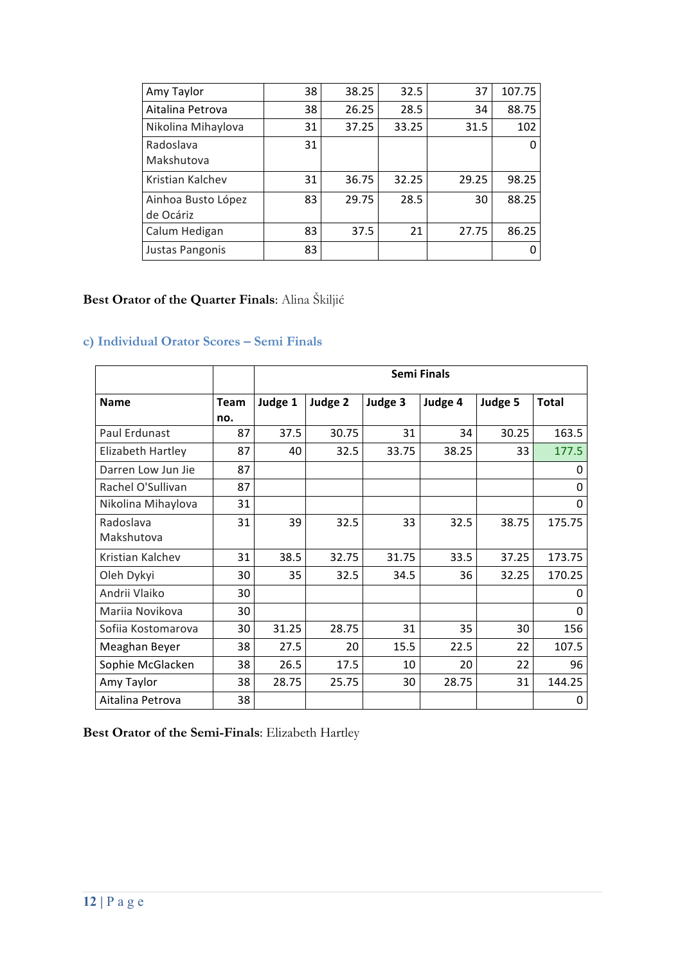| Amy Taylor                      | 38 | 38.25 | 32.5  | 37    | 107.75 |
|---------------------------------|----|-------|-------|-------|--------|
| Aitalina Petrova                | 38 | 26.25 | 28.5  | 34    | 88.75  |
| Nikolina Mihaylova              | 31 | 37.25 | 33.25 | 31.5  | 102    |
| Radoslava<br>Makshutova         | 31 |       |       |       |        |
| Kristian Kalchev                | 31 | 36.75 | 32.25 | 29.25 | 98.25  |
| Ainhoa Busto López<br>de Ocáriz | 83 | 29.75 | 28.5  | 30    | 88.25  |
| Calum Hedigan                   | 83 | 37.5  | 21    | 27.75 | 86.25  |
| Justas Pangonis                 | 83 |       |       |       |        |

# **Best Orator of the Quarter Finals**: Alina Škiljić

# **c) Individual Orator Scores – Semi Finals**

|                    |             | <b>Semi Finals</b> |         |         |         |         |              |  |
|--------------------|-------------|--------------------|---------|---------|---------|---------|--------------|--|
| <b>Name</b>        | <b>Team</b> | Judge 1            | Judge 2 | Judge 3 | Judge 4 | Judge 5 | <b>Total</b> |  |
|                    | no.         |                    |         |         |         |         |              |  |
| Paul Erdunast      | 87          | 37.5               | 30.75   | 31      | 34      | 30.25   | 163.5        |  |
| Elizabeth Hartley  | 87          | 40                 | 32.5    | 33.75   | 38.25   | 33      | 177.5        |  |
| Darren Low Jun Jie | 87          |                    |         |         |         |         | $\Omega$     |  |
| Rachel O'Sullivan  | 87          |                    |         |         |         |         | 0            |  |
| Nikolina Mihaylova | 31          |                    |         |         |         |         | $\Omega$     |  |
| Radoslava          | 31          | 39                 | 32.5    | 33      | 32.5    | 38.75   | 175.75       |  |
| Makshutova         |             |                    |         |         |         |         |              |  |
| Kristian Kalchev   | 31          | 38.5               | 32.75   | 31.75   | 33.5    | 37.25   | 173.75       |  |
| Oleh Dykyi         | 30          | 35                 | 32.5    | 34.5    | 36      | 32.25   | 170.25       |  |
| Andrii Vlaiko      | 30          |                    |         |         |         |         | 0            |  |
| Mariia Novikova    | 30          |                    |         |         |         |         | $\Omega$     |  |
| Sofija Kostomarova | 30          | 31.25              | 28.75   | 31      | 35      | 30      | 156          |  |
| Meaghan Beyer      | 38          | 27.5               | 20      | 15.5    | 22.5    | 22      | 107.5        |  |
| Sophie McGlacken   | 38          | 26.5               | 17.5    | 10      | 20      | 22      | 96           |  |
| Amy Taylor         | 38          | 28.75              | 25.75   | 30      | 28.75   | 31      | 144.25       |  |
| Aitalina Petrova   | 38          |                    |         |         |         |         | 0            |  |

**Best Orator of the Semi-Finals**: Elizabeth Hartley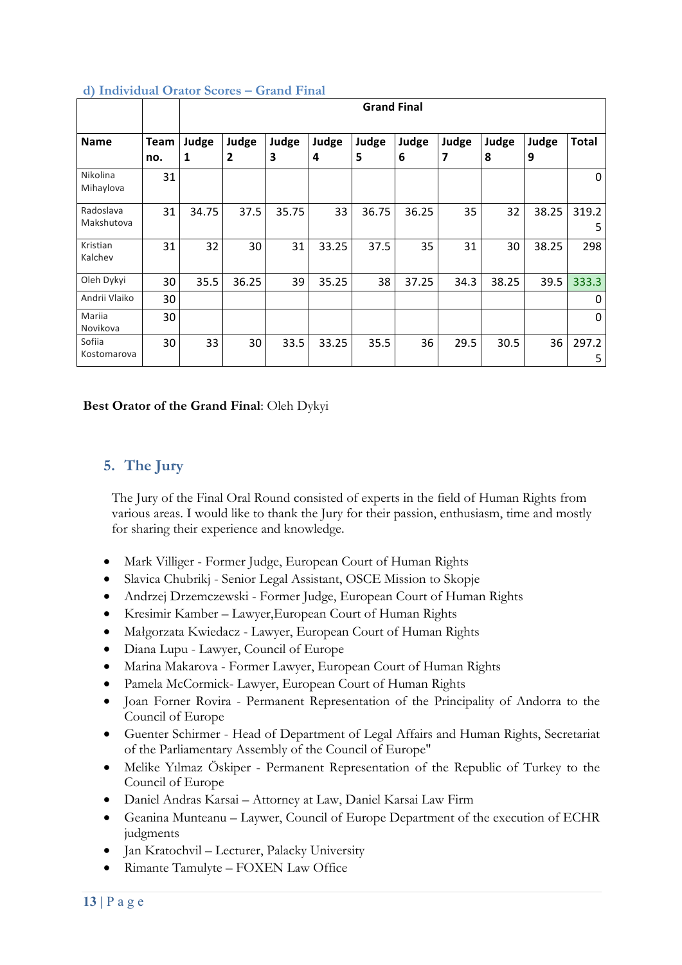|                         |             | <b>Grand Final</b> |                         |            |            |            |            |            |            |            |            |
|-------------------------|-------------|--------------------|-------------------------|------------|------------|------------|------------|------------|------------|------------|------------|
| <b>Name</b>             | Team<br>no. | Judge<br>1         | Judge<br>$\overline{2}$ | Judge<br>3 | Judge<br>4 | Judge<br>5 | Judge<br>6 | Judge<br>7 | Judge<br>8 | Judge<br>9 | Total      |
| Nikolina<br>Mihaylova   | 31          |                    |                         |            |            |            |            |            |            |            | 0          |
| Radoslava<br>Makshutova | 31          | 34.75              | 37.5                    | 35.75      | 33         | 36.75      | 36.25      | 35         | 32         | 38.25      | 319.2<br>5 |
| Kristian<br>Kalchev     | 31          | 32                 | 30                      | 31         | 33.25      | 37.5       | 35         | 31         | 30         | 38.25      | 298        |
| Oleh Dykyi              | 30          | 35.5               | 36.25                   | 39         | 35.25      | 38         | 37.25      | 34.3       | 38.25      | 39.5       | 333.3      |
| Andrii Vlaiko           | 30          |                    |                         |            |            |            |            |            |            |            | 0          |
| Mariia<br>Novikova      | 30          |                    |                         |            |            |            |            |            |            |            | 0          |
| Sofiia<br>Kostomarova   | 30          | 33                 | 30                      | 33.5       | 33.25      | 35.5       | 36         | 29.5       | 30.5       | 36         | 297.2<br>5 |

#### **d) Individual Orator Scores – Grand Final**

#### **Best Orator of the Grand Final**: Oleh Dykyi

## **5. The Jury**

The Jury of the Final Oral Round consisted of experts in the field of Human Rights from various areas. I would like to thank the Jury for their passion, enthusiasm, time and mostly for sharing their experience and knowledge.

- Mark Villiger Former Judge, European Court of Human Rights
- Slavica Chubrikj Senior Legal Assistant, OSCE Mission to Skopje
- Andrzej Drzemczewski Former Judge, European Court of Human Rights
- Kresimir Kamber Lawyer,European Court of Human Rights
- Małgorzata Kwiedacz Lawyer, European Court of Human Rights
- Diana Lupu Lawyer, Council of Europe
- Marina Makarova Former Lawyer, European Court of Human Rights
- Pamela McCormick- Lawyer, European Court of Human Rights
- Joan Forner Rovira Permanent Representation of the Principality of Andorra to the Council of Europe
- Guenter Schirmer Head of Department of Legal Affairs and Human Rights, Secretariat of the Parliamentary Assembly of the Council of Europe"
- Melike Yılmaz Öskiper Permanent Representation of the Republic of Turkey to the Council of Europe
- Daniel Andras Karsai Attorney at Law, Daniel Karsai Law Firm
- Geanina Munteanu Laywer, Council of Europe Department of the execution of ECHR judgments
- Jan Kratochvil Lecturer, Palacky University
- Rimante Tamulyte FOXEN Law Office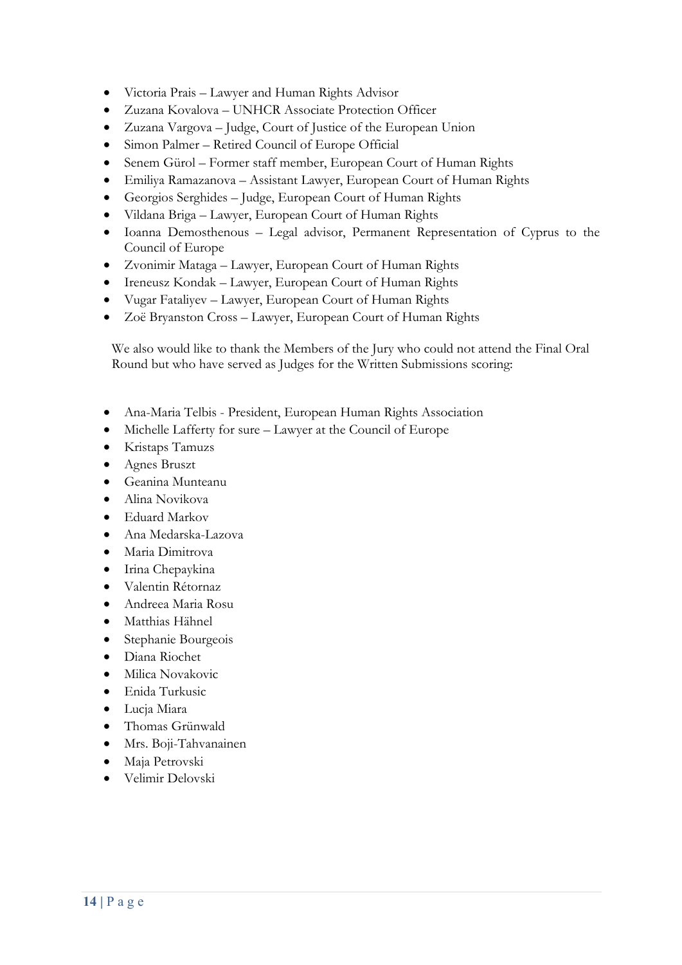- Victoria Prais Lawyer and Human Rights Advisor
- Zuzana Kovalova UNHCR Associate Protection Officer
- Zuzana Vargova Judge, Court of Justice of the European Union
- Simon Palmer Retired Council of Europe Official
- Senem Gürol Former staff member, European Court of Human Rights
- Emiliya Ramazanova Assistant Lawyer, European Court of Human Rights
- Georgios Serghides Judge, European Court of Human Rights
- Vildana Briga Lawyer, European Court of Human Rights
- Ioanna Demosthenous Legal advisor, Permanent Representation of Cyprus to the Council of Europe
- Zvonimir Mataga Lawyer, European Court of Human Rights
- Ireneusz Kondak Lawyer, European Court of Human Rights
- Vugar Fataliyev Lawyer, European Court of Human Rights
- Zoë Bryanston Cross Lawyer, European Court of Human Rights

We also would like to thank the Members of the Jury who could not attend the Final Oral Round but who have served as Judges for the Written Submissions scoring:

- Ana-Maria Telbis President, European Human Rights Association
- Michelle Lafferty for sure Lawyer at the Council of Europe
- Kristaps Tamuzs
- Agnes Bruszt
- Geanina Munteanu
- Alina Novikova
- Eduard Markov
- Ana Medarska-Lazova
- Maria Dimitrova
- Irina Chepaykina
- Valentin Rétornaz
- Andreea Maria Rosu
- Matthias Hähnel
- Stephanie Bourgeois
- Diana Riochet
- Milica Novakovic
- Enida Turkusic
- Lucja Miara
- Thomas Grünwald
- Mrs. Boji-Tahvanainen
- Maja Petrovski
- Velimir Delovski